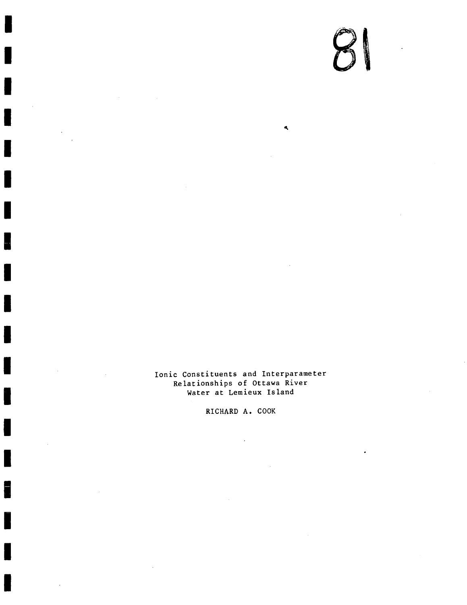# $\bm{O}$

4

Ionic Constituents and Interparameter Relationships of Ottawa River Water at Lemieux Island

RICHARD A. COOK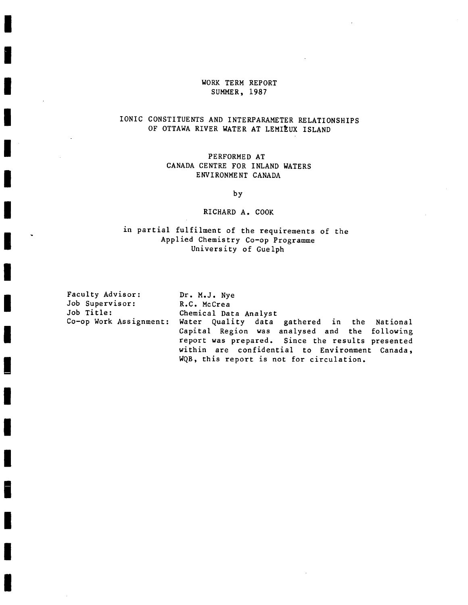#### WORK TERM REPORT SUMMER, 1987

## IONIC CONSTITUENTS AND INTERPARAMETER RELATIONSHIPS OF OTTAWA RIVER WATER AT LEMIEUX ISLAND

#### PERFORMED AT CANADA CENTRE FOR INLAND WATERS ENVIRONMENT CANADA

by

#### RICHARD A. COOK

### in partial fulfilment of the requirements of the Applied Chemistry Co-op Programme University of Guelph

 $\ddot{\phantom{0}}$ 

| Faculty Advisor: | Dr. M.J. Nye                                                                                      |  |  |  |  |  |  |  |  |
|------------------|---------------------------------------------------------------------------------------------------|--|--|--|--|--|--|--|--|
| Job Supervisor:  | R.C. McCrea                                                                                       |  |  |  |  |  |  |  |  |
| Job Title:       | Chemical Data Analyst                                                                             |  |  |  |  |  |  |  |  |
|                  | Co-op Work Assignment: Water Quality data gathered in the National                                |  |  |  |  |  |  |  |  |
|                  | Capital Region was analysed and the following<br>report was prepared. Since the results presented |  |  |  |  |  |  |  |  |
|                  | within are confidential to Environment Canada,<br>WQB, this report is not for circulation.        |  |  |  |  |  |  |  |  |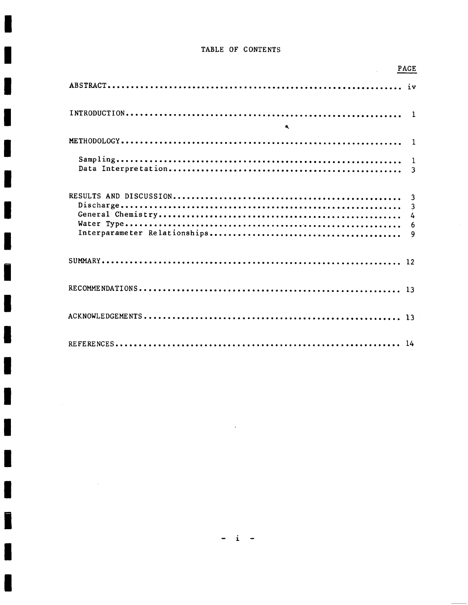#### TABLE OF CONTENTS

| <b>PAGE</b>          |  |
|----------------------|--|
|                      |  |
|                      |  |
| $\ddot{\phantom{a}}$ |  |
|                      |  |
|                      |  |
|                      |  |
|                      |  |
|                      |  |
|                      |  |

J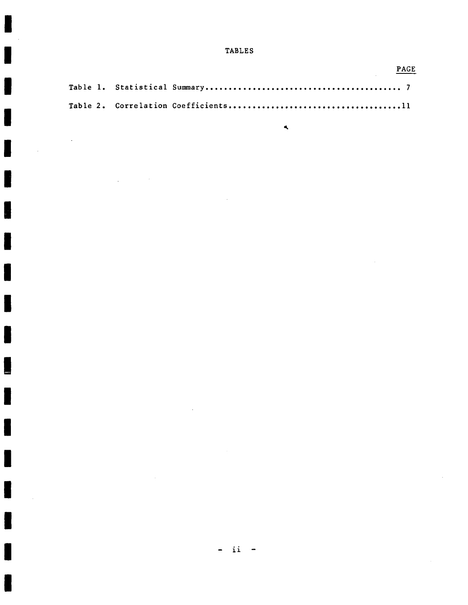**TABLES** 

|  | PAGE |
|--|------|
|  |      |
|  |      |

 $\ddot{\phantom{a}}$ 

 $\bar{z}$ 

J

 $\bar{z}$ 

 $\blacktriangleleft$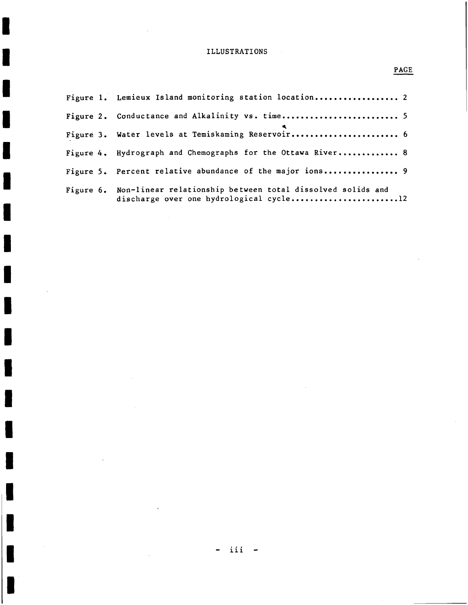#### ILLUSTRATIONS

| Figure 1. Lemieux Island monitoring station location 2                                                          |
|-----------------------------------------------------------------------------------------------------------------|
| Figure 2. Conductance and Alkalinity vs. time 5                                                                 |
| Figure 3. Water levels at Temiskaming Reservoir 6                                                               |
| Figure 4. Hydrograph and Chemographs for the Ottawa River 8                                                     |
| Figure 5. Percent relative abundance of the major ions 9                                                        |
| Figure 6. Non-linear relationship between total dissolved solids and<br>discharge over one hydrological cycle12 |

# PAGE

H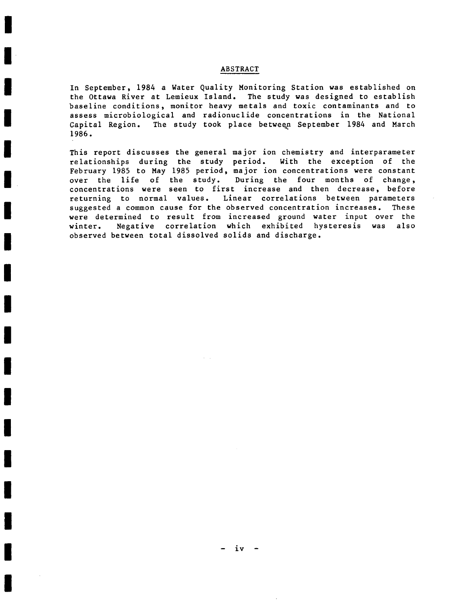#### ABSTRACT

In September, 1984 a Water Quality Monitoring Station was established on the Ottawa River at Lemieux Island. The study was designed to establish baseline conditions, monitor heavy metals and toxic contaminants and to assess microbiological and radionuclide concentrations in the National<br>Capital Region. The study took place between September 1984 and March The study took place between September 1984 and March 1986.

This report discusses the general major ion chemistry and interparameter<br>relationships during the study period. With the exception of the relationships during the study period. February 1985 to May 1985 period, major ion concentrations were constant over the life of the study. During the four months of change, concentrations were seen to first increase and then decrease, before<br>returning to normal values. Linear correlations between parameters Linear correlations between parameters<br>observed concentration increases. These suggested a common cause for the observed concentration increases. were determined to result from increased ground water input over the<br>winter. Negative correlation which exhibited hysteresis was also Negative correlation which exhibited hysteresis was also observed between total dissolved solids and discharge.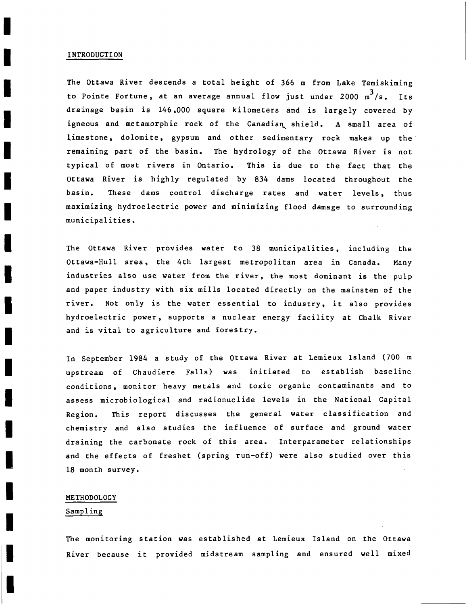#### INTRODUCTION

The Ottawa River descends a total height of 366 m from Lake Temiskiming to Pointe Fortune, at an average annual flow just under  $2000 \text{ m}^3/\text{s}$ . Its drainage basin is 146,000 square kilometers and is largely covered by igneous and metamorphic rock of the Canadian shield. A small area of limestone, dolomite, gypsum and other sedimentary rock makes up the' remaining part of the basin. The hydrology of the Ottawa River is not typical of most rivers in Ontario. This is due to the fact that the Ottawa River is highly regulated by 834 dams located throughout the basin. These dams control discharge rates and water levels, thus maximizing hydroelectric power and minimizing flood damage to surrounding municipalities.

The Ottawa River provides water to 38 municipalities, including the Ottawa-Hull area, the 4th largest metropolitan area in Canada. Many industries also use water from the river, the most dominant is the pulp and paper industry with six mills located directly on the mainstem of the river. Not only is the water essential to industry, it also provides hydroelectric power, supports a nuclear energy facility at Chalk River and is vital to agriculture and forestry.

In September 1984 a study of the Ottawa River at Lemieux Island (700 m upstream of Chaudiere Falls) was initiated to establish baseline conditions, monitor heavy metals and toxic organic contaminants and to assess microbiological and radionuclide levels in the National Capital Region. This report discusses the general water classification and chemistry and also studies the influence of surface and ground water draining the carbonate rock of this area. Interparameter relationships and the effects of freshet (spring run-off) were also studied over this 18 month survey.

#### METHODOLOGY

#### Sampling

The monitoring station was established at Lemieux Island on the Ottawa River because it provided midstream sampling and ensured well mixed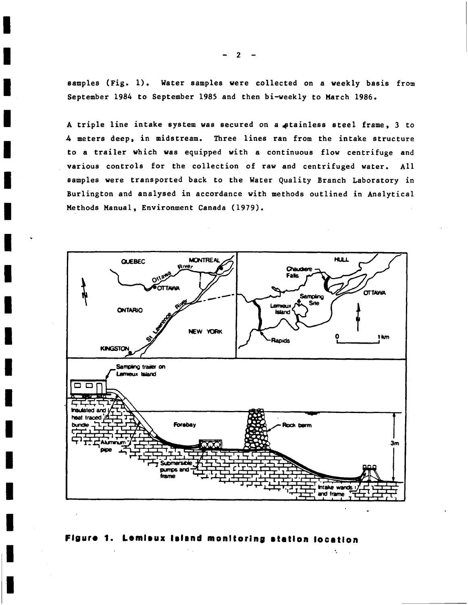samples (Fig. 1). Water samples were collected on a weekly basis from September 1984 to September 1985 and then bi-weekly to March 1986.

A triple line intake system was secured on a stainless steel frame, 3 to 4 meters deep, in midstream. Three lines ran from the intake structure to a trailer which was equipped with a continuous flow centrifuge and various controls for the collection of raw and centrifuged water. All samples were transported back to the Water Quality Branch Laboratory in Burlington and analysed in accordance with methods outlined in Analytical Methods Manual, Environment Canada (1979).



Figure 1. Lemieux laiand monitoring station location

 $\Delta \mathbf{r}$ 

 $2<sup>1</sup>$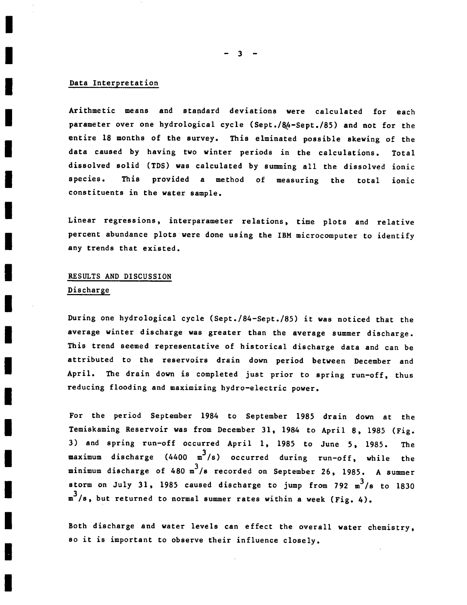3

#### Data Interpretation

Arithmetic means and standard deviations were calculated for each parameter over one hydrological cycle (Sept./&é-Sept./85) and not for the entire 18 months of the survey. This elminated possible skewing of the data caused by having two winter periods in the calculations. Total dissolved solid (TDS) was calculated by summing all the dissolved ionic species. This provided a method of measuring the total ionic constituents in the water sample.

Linear regressions, interparameter relations, time plots and relative percent abundance plots were done using the IBM microcomputer to identify any trends that existed.

# RESULTS AND DISCUSSION

#### Discharge

During one hydrological cycle (Sept./84-Sept./85) it was noticed that the average winter discharge was greater than the average summer discharge. This trend seemed representative of historical discharge data and can be attributed to the reservoirs drain down period between December and April. The drain down is completed just prior to spring run-off, thus reducing flooding and maximizing hydro-electric power.

For the period September 1984 to September 1985 drain down at the Temiskaming Reservoir was from December 31, 1984 to April 8, 1985 (Fig. 3) and spring run-off occurred April 1, 1985 to June 5, 1985. The maximum discharge (4400  $m^3/s$ ) occurred during run-off, while the minimum discharge of 480 m<sup>3</sup>/s recorded on September 26, 1985. A summer storm on July 31, 1985 caused discharge to jump from 792  $m^3/s$  to 1830  $m^3/s$ , but returned to normal summer rates within a week (Fig. 4).

Both discharge and water levels can effect the overall water chemistry, so it is important to observe their influence closely.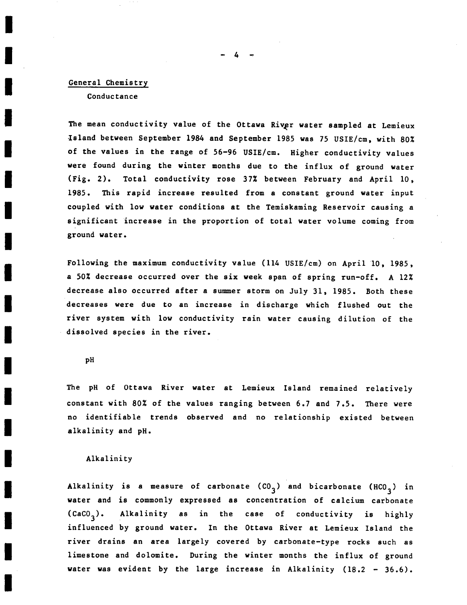#### General Chemistry

Conductance

The mean conductivity value of the Ottawa River water sampled at Lemieux Island between September 1984 and September 1985 was 75 USIE/cm, with 802 of the values in the range of 56-96 USIE/cm. Higher conductivity values were found during the winter months due to the influx of ground water (Fig. 2). Total conductivity rose 372 between February and April 10, 1985. This rapid increase resulted from a constant ground water input coupled with low water conditions at the Temiskaming Reservoir causing a significant increase in the proportion of total water volume coming from ground water.

Following the maximum conductivity value (114 USIE/cm) on April 10, 1985, a 50% decrease occurred over the six week span of spring run-off. A 12% decrease also occurred after a summer storm on July 31, 1985. Both these decreases were due to an increase in discharge which flushed out the river system with low conductivity rain water causing dilution of the dissolved species in the river.

pH

The pH of Ottawa River water at Lemieux Island remained relatively constant with 802 of the values ranging between 6.7 and 7.5. There were no identifiable trends observed and no relationship existed between alkalinity and pH.

#### Alkalinity

Alkalinity is a measure of carbonate  $(CO<sub>3</sub>)$  and bicarbonate  $(HCO<sub>3</sub>)$  in water and is commonly expressed as concentration of calcium carbonate  $(cac_3)$ . Alkalinity as in the case of conductivity is highly influenced by ground water. In the Ottawa River at Lemieux Island the river drains an area largely covered by carbonate—type rocks such as limestone and dolomite. During the winter months the influx of ground water was evident by the large increase in Alkalinity (18.2 - 36.6).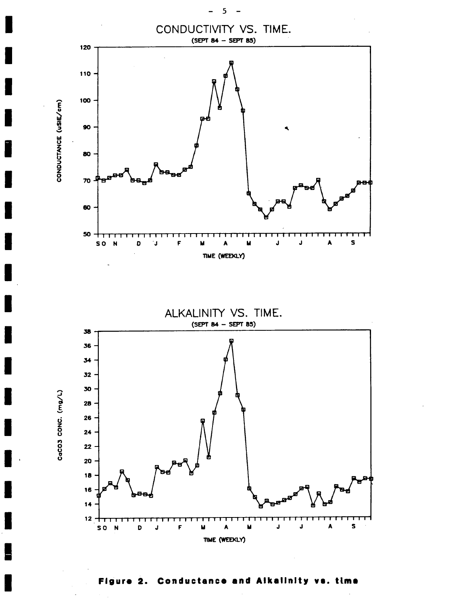

Conductance and Alkalinity vs. time Figure  $2.$ 

5

-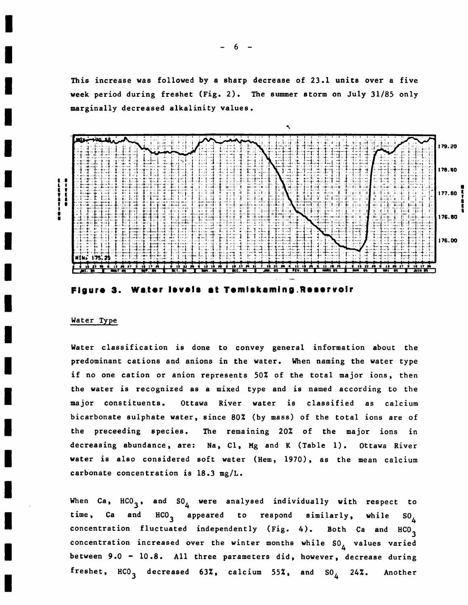This increase was followed by a sharp decrease of 23.1 units over a five week period during freshet (Fig. 2). The summer storm on July 31/85 only marginally decreased alkalinity values.





#### Water Type

Water classification is done to convey general information about the predominant cations and anions in the water. When naming the water type if no one cation or anion represents 502 of the total major ions, then the water is recognized as a mixed type and is named according to the major constituents. Ottawa River water is classified as calcium bicarbonate sulphate water, since 802 (by mass) of the total ions are of the preceeding species. The remaining 20% of the major ions in decreasing abundance, are: Na, Cl, Mg and K (Table 1). Ottawa River water is also considered soft water (Hem, 1970), as the mean calcium carbonate concentration is 18.3 mg/L.

When Ca, HCO<sub>3</sub>, and SO<sub>4</sub> were analysed individually with respect to time, Ca and HCO<sub>3</sub> appeared to respond similarly, while SO<sub>4</sub> time, Ca and HCO<sub>3</sub> appeared to respond similarly, while SO<sub>4</sub> concentration fluctuated independently (Fig. 4). Both Ca and  $HCO_{3}$ concentration increased over the winter months while  $SO_4$  values varied between 9.0 - 10.8. All three parameters did, however, decrease during freshet,  $HCO_3$  decreased 63%, calcium 55%, and  $SO_4$  24%. Another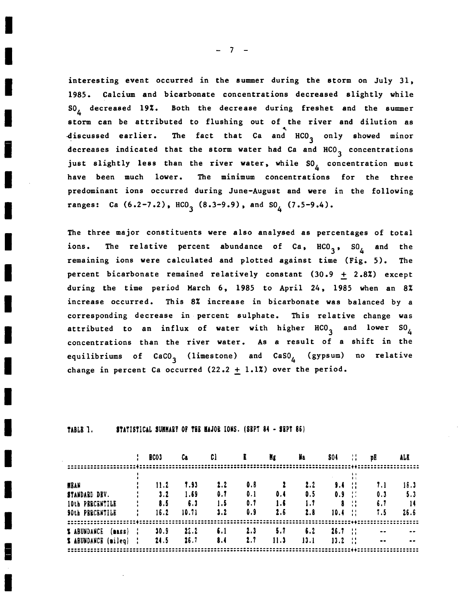interesting event occurred in the summer during the storm on July 31, 1985. Calcium and bicarbonate concentrations decreased slightly while SO, decreased 19%. Both the decrease during freshet and the summer storm can be attributed to flushing out of the river and dilution as discussed earlier. The fact that Ca and HCO<sub>3</sub> only showed minor decreases indicated that the storm water had Ca and  $HCO<sub>3</sub>$  concentrations just slightly less than the river water, while SO<sub>A</sub> concentration must have been much lower. The minimum concentrations for the three predominant ions occurred during June-August and were in the following ranges: Ca  $(6.2-7.2)$ , HCO<sub>3</sub>  $(8.3-9.9)$ , and SO<sub>1</sub>  $(7.5-9.4)$ .

The three major constituents were also analysed as percentages of total The relative percent abundance of  $Ca$ ,  $HCO<sub>3</sub>$ ,  $SO<sub>L</sub>$  and ions. the remaining ions were calculated and plotted against time (Fig. 5). The percent bicarbonate remained relatively constant (30.9 + 2.8%) except during the time period March 6, 1985 to April 24, 1985 when an 8% increase occurred. This 8% increase in bicarbonate was balanced by a corresponding decrease in percent sulphate. This relative change was attributed to an influx of water with higher HCO<sub>3</sub> and lower SO<sub>4</sub> concentrations than the river water. As a result of a shift in the equilibriums of CaCO<sub>3</sub> (limestone) and CaSO<sub>4</sub> (gypsum) no relative change in percent Ca occurred  $(22.2 + 1.12)$  over the period.

STATISTICAL SUMMARY OF THE MAJOR IONS. (SBPT 84 - SEPT 86) TABLE 1.

|                                                 |   | <b>BCO3</b> | Cа           | Cl         | K          | Ħ£   | li a                          | <b>SO4</b>     | ÷.             | DH               | ALK         |
|-------------------------------------------------|---|-------------|--------------|------------|------------|------|-------------------------------|----------------|----------------|------------------|-------------|
|                                                 |   |             |              |            |            |      |                               |                | H              |                  |             |
| MBAN<br>STANDARD DEV.                           |   | 11.2<br>3.2 | T.93<br>1.69 | 2.2<br>0.1 | 0.8<br>0.1 | 0.4  | 2.2<br>0.5                    | 9.4<br>$0.9$ : | 44             | 7.1<br>0.3       | 18.3<br>5.3 |
| <b>10th PERCENTILE</b>                          | ÷ | 8.5         | 6.3          | 1.5        | 0.7        | 1.6  | 1.7                           | 8              | 44             | 6.7              | 14          |
| <b>90th PERCENTILE</b>                          |   | 16.2        | 10.71        | 3.2        | 0.9        | 2.6  | 2.8                           | 10.4           | $\frac{1}{11}$ | 1.5              | 26.6        |
| <b>X ABUNDANCE</b><br>$\left($ nass $\right)$ ; |   | 30.9        | 22.2         | 6.1        | 2.3        | 5.7  | $\boldsymbol{\mathsf{s}}$ . 2 | 26.7           | $\mathbb{R}^n$ |                  |             |
| % ABUNDANCE (mileq) :                           |   | 24.5        | 26.7         | 8.4        | 2.7        | 11.3 | 13.1                          | 13.2           | -11            | $\bullet\bullet$ |             |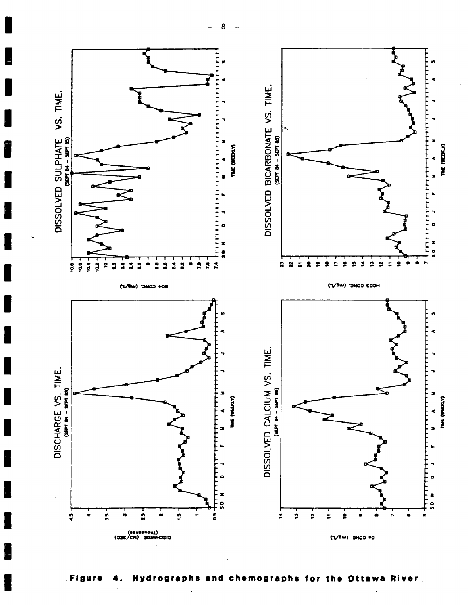

Figure 4. Hydrographs and chemographs for the Ottawa River.

8  $\overline{a}$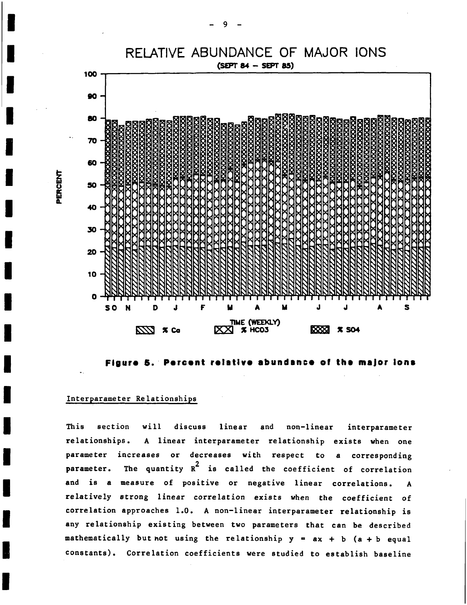

Floure 5. Percent relative abundance of the major ions

#### Interparameter Relationships

This section will discuss linear and non-linear interparameter relationships. A linear interparameter relationship exists when one parameter increases or decreases with respect to a corresponding parameter. The quantity R<sup>2</sup> is called the coefficient of correlation and is a measure of positive or negative linear correlations. A relatively strong linear correlation exists when the coefficient of correlation approaches l.O. A non-linear interparameter relationship is any relationship existing between two parameters that can be described mathematically but not using the relationship  $y = ax + b$  (a + b equal constants). Correlation coefficients were studied to establish baseline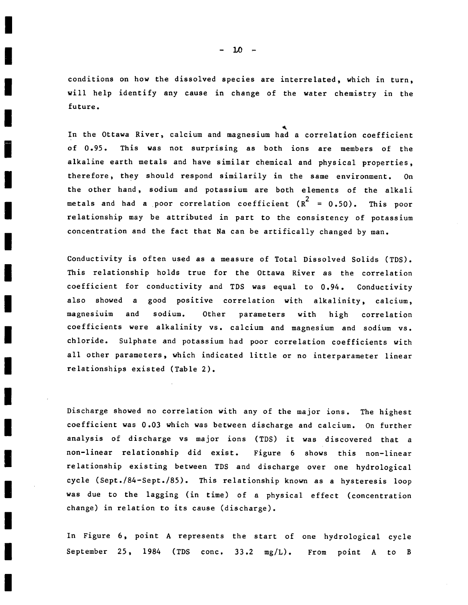conditions on how the dissolved species are interrelated, which in turn, will help identify any cause in change of the water chemistry in the future.

 $\ddot{\phantom{0}}$ In the Ottawa Kiver, calcium and magnesium had a correlation coefficient of 0.95. This was not surprising as both ions are members of the alkaline earth metals and have similar chemical and physical properties, therefore, they should respond similarily in the same environment. On the other hand, sodium and potassium are both elements of the alkali metals and had a poor correlation coefficient  $(R^2 = 0.50)$ . This poor relationship may be attributed in part to the consistency' of potassium concentration and the fact that Na can be artifically changed by man.

Conductivity is often used as a measure of Total Dissolved Solids (TDS). This relationship holds true for the Ottawa River as the correlation coefficient for conductivity and TDS was equal to 0.94. Conductivity also showed a good positive correlation with alkalinity, calcium, magnesiuim and sodium. Other parameters with high correlation coefficients were alkalinity vs. calcium and magnesium and sodium vs. chloride. Sulphate and potassium had poor correlation coefficients with all other parameters, which indicated little or no interparameter linear relationships existed (Table 2).

Discharge showed no correlation with any of the major ions. The highest coefficient was 0.03 which was between discharge and calcium. On further analysis of discharge vs major ions (TDS) it was discovered that <sup>a</sup> non-linear relationship did exist. Figure 6 shows this non-linear relationship existing between TDS and discharge over one hydrological cycle (Sept./84-Sept./85). This relationship known as a hysteresis loop was due to the lagging (in time) of a physical effect (concentration change) in relation to its cause (discharge).

In Figure 6, point A represents the start of one hydrological cycle September 25, 1984 (TDS conc. 33.2 mg/L). From point A to B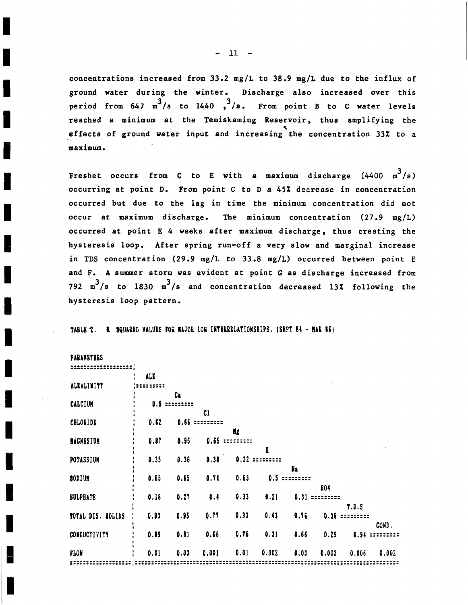concentrations increased from 33.2 mg/L to 38.9 mg/L due to the influx of ground water during the winter. Discharge also increased over this period from 647  $m^3/s$  to 1440 ,  $3/s$ . From point B to C water levels reached a minimum at the Temiskaming Reservoir, thus amplifying the effects of ground water input and increasing the concentration 33% to a maximum.

Freshet occurs from C to E with a maximum discharge  $(4400 \text{ m}^3/\text{s})$ occurring at point D. From point C to D a 45% decrease in concentration occurred but due to the lag in time the minimum concentration did not occur at maximum discharge. The minimum concentration  $(27.9 \text{ mg/L})$ occurred at point E 4 weeks after maximum discharge, thus creating the hysteresis loop. After spring run-off a very slow and marginal increase in TDS concentration (29.9 mg/L to 33.8 mg/L) occurred between point E and F. A summer storm was evident at point G as discharge increased from 792  $m^3/s$  to 1830  $m^3/s$  and concentration decreased 13% following the hysteresis loop pattern.

TABLE 2. R SQUARED VALUES FOR MAJOR ION INTERRELATIONSHIPS. (SEPT 84 - MAR 86)

| PARANBTERS |
|------------|
|------------|

|                   | ALB  |      |        |      |       |      |            |       |       |
|-------------------|------|------|--------|------|-------|------|------------|-------|-------|
| ALEALINITY        |      |      |        |      |       |      |            |       |       |
|                   |      | Ca   |        |      |       |      |            |       |       |
| CALCIUM           | O.S  |      |        |      |       |      |            |       |       |
|                   |      |      | C)     |      |       |      |            |       |       |
| <b>CHLOBIDE</b>   | 0.62 | 0.66 | :::::: |      |       |      |            |       |       |
|                   |      |      |        | Ng   |       |      |            |       |       |
| <b>MAGNESIUM</b>  | 0.87 | 0.95 | 0.65   |      |       |      |            |       |       |
|                   |      |      |        |      | R     |      |            |       |       |
| POTASSIUM         | 0.35 | 0.36 | 0.38   | 0.32 |       |      |            |       |       |
|                   |      |      |        |      |       | Na   |            |       |       |
| SODIUM            | 0.65 | 0.65 | 0.71   | 0.63 | 0.5   |      |            |       |       |
|                   |      |      |        |      |       |      | <b>SO4</b> |       |       |
| <b>SULPBATE</b>   | 0.18 | 0.27 | 0.4    | 0.33 | 0.21  | 0.31 |            |       |       |
|                   |      |      |        |      |       |      |            | T.D.S |       |
| TOTAL DIS. SOLIDS | 0.93 | 0.95 | 0.77   | 0.93 | 0.43  | 0.76 |            |       |       |
|                   |      |      |        |      |       |      | 0.38       |       |       |
|                   |      |      |        |      |       |      |            |       | COND. |
| CONDUCTIVITY      | 0.89 | 0.81 | 0.66   | 0.76 | 0.31  | 0.66 | 0.29       | 0.94  |       |
|                   |      |      |        |      |       |      |            |       |       |
| FLOW              | 0.01 | 0.03 | 0.001  | 0.01 | 0.002 | 0.03 | 0.003      | 0.006 | 0.002 |
|                   |      |      |        |      |       |      |            |       |       |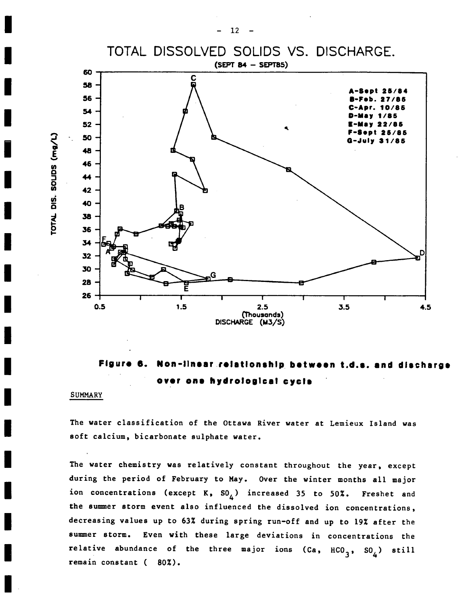





#### SUMMARY

TOTAL

 $\blacksquare$ 

SOUDS

 $\blacksquare$ 

The water classification of the Ottawa River water at Lemieux Island was soft calcium, bicarbonate sulphate water.

The water chemistry was relatively constant throughout the year, except during the period of February to May. Over the winter months all major ion concentrations (except K,  $SO_{\Lambda}$ ) increased 35 to 50%. Freshet and the summer storm event also influenced the dissolved ion concentrations, decreasing values up to 632 during spring run-off and up to 19% after the summer storm. Even with these large deviations in concentrations the relative abundance of the three major ions (Ca,  $HCO_{3}$ ,  $SO_{4}$ ) still remain constant (80%).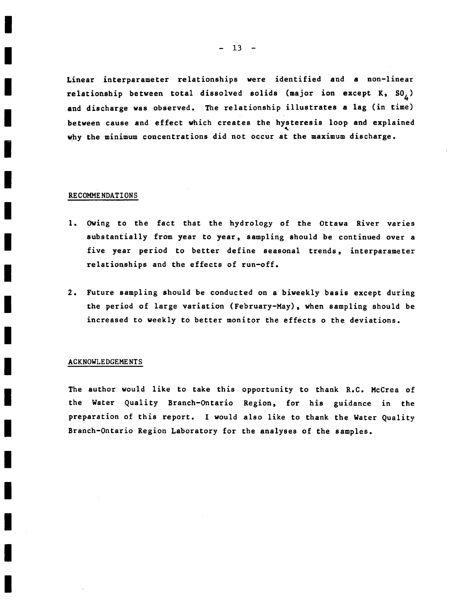Linear interparameter relationships were identified and a non-linear relationship between total dissolved solids (major ion except K,  $SO_A$ ) and discharge was observed. The relationship illustrates a lag (in time) between cause and effect which creates the hysteresis 100p and explained why the minimum concentrations did not occur at the maximum discharge.

#### RECOMMENDATIONS

- 1. Owing to the fact that the hydrology of the Ottawa River varies substantially from year to year, sampling should be continued over a five year period to better define seasonal trends, interparameter relationships and the effects of run-off.
- 2. Future sampling should be conducted on a biweekly basis except during the period of large variation (February-May), when sampling should be increased to weekly to better monitor the effects 0 the deviations.

#### ACKNOWLEDGEME NTS

The author would like to take this Opportunity to thank R.C. McCrea of the Water Quality Branch-Ontario Region, for his guidance in the preparation of this report. I would also like to thank the Water Quality Branch-Ontario Region Laboratory for the analyses of the samples.